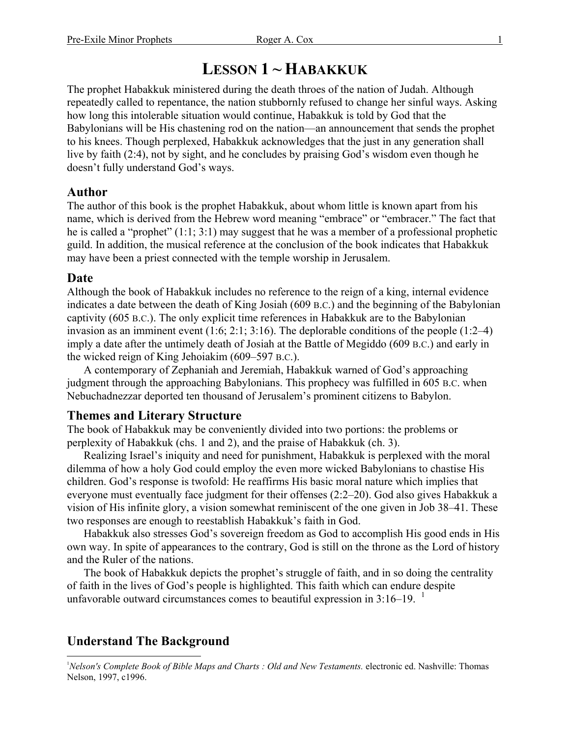# **LESSON 1 ~ HABAKKUK**

The prophet Habakkuk ministered during the death throes of the nation of Judah. Although repeatedly called to repentance, the nation stubbornly refused to change her sinful ways. Asking how long this intolerable situation would continue, Habakkuk is told by God that the Babylonians will be His chastening rod on the nation—an announcement that sends the prophet to his knees. Though perplexed, Habakkuk acknowledges that the just in any generation shall live by faith (2:4), not by sight, and he concludes by praising God's wisdom even though he doesn't fully understand God's ways.

### **Author**

The author of this book is the prophet Habakkuk, about whom little is known apart from his name, which is derived from the Hebrew word meaning "embrace" or "embracer." The fact that he is called a "prophet" (1:1; 3:1) may suggest that he was a member of a professional prophetic guild. In addition, the musical reference at the conclusion of the book indicates that Habakkuk may have been a priest connected with the temple worship in Jerusalem.

#### **Date**

Although the book of Habakkuk includes no reference to the reign of a king, internal evidence indicates a date between the death of King Josiah (609 B.C.) and the beginning of the Babylonian captivity (605 B.C.). The only explicit time references in Habakkuk are to the Babylonian invasion as an imminent event (1:6; 2:1; 3:16). The deplorable conditions of the people (1:2–4) imply a date after the untimely death of Josiah at the Battle of Megiddo (609 B.C.) and early in the wicked reign of King Jehoiakim (609–597 B.C.).

A contemporary of Zephaniah and Jeremiah, Habakkuk warned of God's approaching judgment through the approaching Babylonians. This prophecy was fulfilled in 605 B.C. when Nebuchadnezzar deported ten thousand of Jerusalem's prominent citizens to Babylon.

### **Themes and Literary Structure**

The book of Habakkuk may be conveniently divided into two portions: the problems or perplexity of Habakkuk (chs. 1 and 2), and the praise of Habakkuk (ch. 3).

Realizing Israel's iniquity and need for punishment, Habakkuk is perplexed with the moral dilemma of how a holy God could employ the even more wicked Babylonians to chastise His children. God's response is twofold: He reaffirms His basic moral nature which implies that everyone must eventually face judgment for their offenses (2:2–20). God also gives Habakkuk a vision of His infinite glory, a vision somewhat reminiscent of the one given in Job 38–41. These two responses are enough to reestablish Habakkuk's faith in God.

Habakkuk also stresses God's sovereign freedom as God to accomplish His good ends in His own way. In spite of appearances to the contrary, God is still on the throne as the Lord of history and the Ruler of the nations.

The book of Habakkuk depicts the prophet's struggle of faith, and in so doing the centrality of faith in the lives of God's people is highlighted. This faith which can endure despite unfavorable outward circumstances comes to beautiful expression in  $3:16-19$ . <sup>1</sup>

## **Understand The Background**

 $\overline{a}$ 

<sup>&</sup>lt;sup>1</sup>Nelson's Complete Book of Bible Maps and Charts : Old and New Testaments. electronic ed. Nashville: Thomas Nelson, 1997, c1996.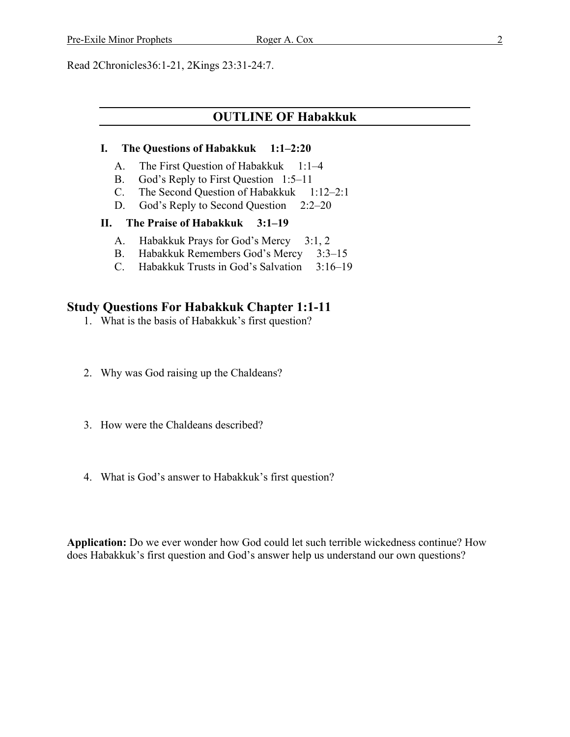Read 2Chronicles36:1-21, 2Kings 23:31-24:7.

## **OUTLINE OF Habakkuk**

#### **I. The Questions of Habakkuk 1:1–2:20**

- A. The First Question of Habakkuk 1:1–4
- B. God's Reply to First Question 1:5–11
- C. The Second Question of Habakkuk 1:12–2:1
- D. God's Reply to Second Question 2:2–20

#### **II. The Praise of Habakkuk 3:1–19**

- A. Habakkuk Prays for God's Mercy 3:1, 2
- B. Habakkuk Remembers God's Mercy 3:3–15
- C. Habakkuk Trusts in God's Salvation 3:16–19

#### **Study Questions For Habakkuk Chapter 1:1-11**

- 1. What is the basis of Habakkuk's first question?
- 2. Why was God raising up the Chaldeans?
- 3. How were the Chaldeans described?
- 4. What is God's answer to Habakkuk's first question?

**Application:** Do we ever wonder how God could let such terrible wickedness continue? How does Habakkuk's first question and God's answer help us understand our own questions?